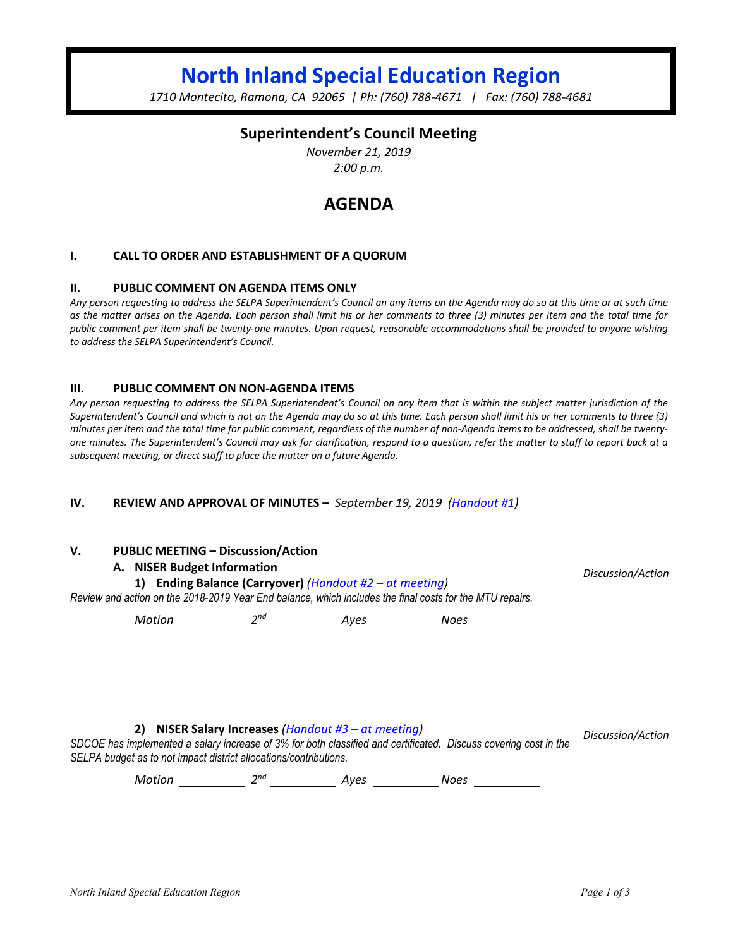# **North Inland Special Education Region**

*1710 Montecito, Ramona, CA 92065 | Ph: (760) 788-4671 | Fax: (760) 788-4681*

## **Superintendent's Council Meeting**

*November 21, 2019 2:00 p.m.*

## **AGENDA**

#### **I. CALL TO ORDER AND ESTABLISHMENT OF A QUORUM**

#### **II. PUBLIC COMMENT ON AGENDA ITEMS ONLY**

*Any person requesting to address the SELPA Superintendent's Council an any items on the Agenda may do so at this time or at such time as the matter arises on the Agenda. Each person shall limit his or her comments to three (3) minutes per item and the total time for public comment per item shall be twenty-one minutes. Upon request, reasonable accommodations shall be provided to anyone wishing to address the SELPA Superintendent's Council.*

#### **III. PUBLIC COMMENT ON NON-AGENDA ITEMS**

*Any person requesting to address the SELPA Superintendent's Council on any item that is within the subject matter jurisdiction of the Superintendent's Council and which is not on the Agenda may do so at this time. Each person shall limit his or her comments to three (3) minutes per item and the total time for public comment, regardless of the number of non-Agenda items to be addressed, shall be twentyone minutes. The Superintendent's Council may ask for clarification, respond to a question, refer the matter to staff to report back at a subsequent meeting, or direct staff to place the matter on a future Agenda.*

#### **IV. REVIEW AND APPROVAL OF MINUTES –** *September 19, 2019 (Handout #1)*

#### **V. PUBLIC MEETING – Discussion/Action**

#### **A. NISER Budget Information**

**1) Ending Balance (Carryover)** *(Handout #2 – at meeting) Review and action on the 2018-2019 Year End balance, which includes the final costs for the MTU repairs.*

*Motion* 2<sup>nd</sup> 2<sup>nd</sup> 4yes 2008 Noes 2008

#### **2) NISER Salary Increases** *(Handout #3 – at meeting)*

*SDCOE has implemented a salary increase of 3% for both classified and certificated. Discuss covering cost in the SELPA budget as to not impact district allocations/contributions. Discussion/Action*

*Motion* 2<sup>nd</sup> 2<sup>nd</sup> 4yes 2008 Noes

*Discussion/Action*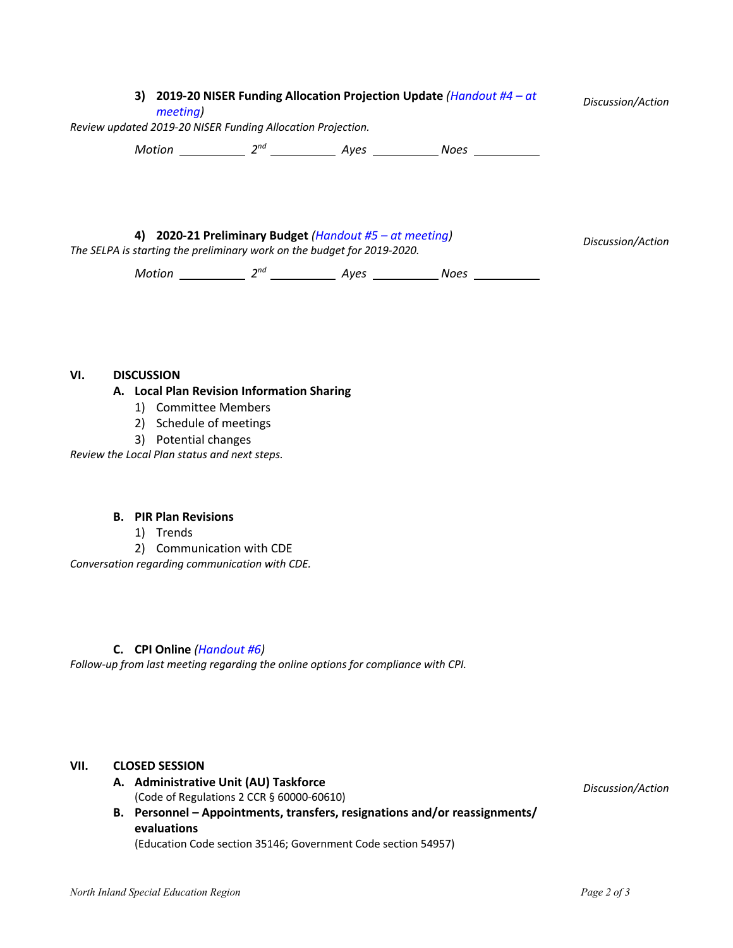|    | 3) 2019-20 NISER Funding Allocation Projection Update (Handout $#4 - at$<br>meeting)<br>Review updated 2019-20 NISER Funding Allocation Projection. |          |                                                      |      |                   |
|----|-----------------------------------------------------------------------------------------------------------------------------------------------------|----------|------------------------------------------------------|------|-------------------|
|    | Motion                                                                                                                                              | $2^{nd}$ | Aves                                                 | Noes |                   |
| 4) | The SELPA is starting the preliminary work on the budget for 2019-2020.                                                                             |          | 2020-21 Preliminary Budget (Handout #5 - at meeting) |      | Discussion/Action |
|    | Motion                                                                                                                                              |          | Aves                                                 | Noes |                   |

#### **VI. DISCUSSION**

#### **A. Local Plan Revision Information Sharing**

- 1) Committee Members
- 2) Schedule of meetings
- 3) Potential changes

*Review the Local Plan status and next steps.*

#### **B. PIR Plan Revisions**

- 1) Trends
- 2) Communication with CDE

*Conversation regarding communication with CDE.*

#### **C. CPI Online** *(Handout #6)*

*Follow-up from last meeting regarding the online options for compliance with CPI.*

## **VII. CLOSED SESSION**

- **A. Administrative Unit (AU) Taskforce** (Code of Regulations 2 CCR § 60000-60610)
- **B. Personnel – Appointments, transfers, resignations and/or reassignments/ evaluations**

(Education Code section 35146; Government Code section 54957)

*Discussion/Action*